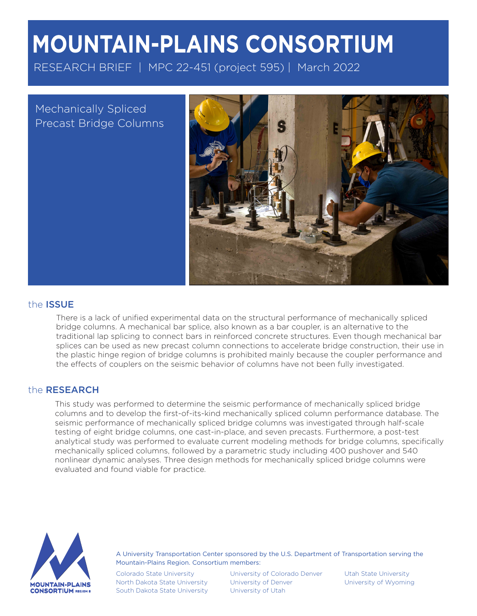# **MOUNTAIN-PLAINS CONSORTIUM**

RESEARCH BRIEF | MPC 22-451 (project 595) | March 2022

Mechanically Spliced Precast Bridge Columns



## the ISSUE

There is a lack of unified experimental data on the structural performance of mechanically spliced bridge columns. A mechanical bar splice, also known as a bar coupler, is an alternative to the traditional lap splicing to connect bars in reinforced concrete structures. Even though mechanical bar splices can be used as new precast column connections to accelerate bridge construction, their use in the plastic hinge region of bridge columns is prohibited mainly because the coupler performance and the effects of couplers on the seismic behavior of columns have not been fully investigated.

## the RESEARCH

This study was performed to determine the seismic performance of mechanically spliced bridge columns and to develop the first-of-its-kind mechanically spliced column performance database. The seismic performance of mechanically spliced bridge columns was investigated through half-scale testing of eight bridge columns, one cast-in-place, and seven precasts. Furthermore, a post-test analytical study was performed to evaluate current modeling methods for bridge columns, specifically mechanically spliced columns, followed by a parametric study including 400 pushover and 540 nonlinear dynamic analyses. Three design methods for mechanically spliced bridge columns were evaluated and found viable for practice.



A University Transportation Center sponsored by the U.S. Department of Transportation serving the Mountain-Plains Region. Consortium members:

Colorado State University North Dakota State University South Dakota State University

University of Colorado Denver University of Denver University of Utah

Utah State University University of Wyoming